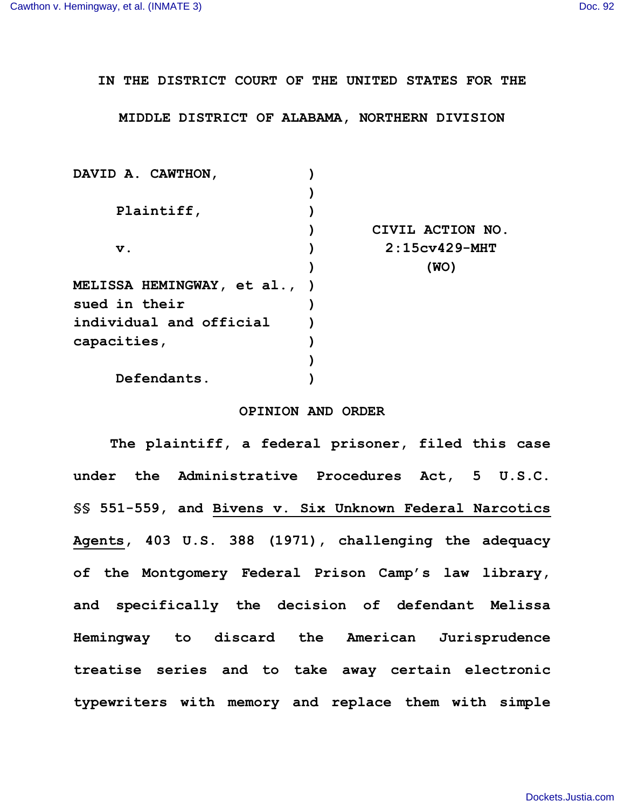**IN THE DISTRICT COURT OF THE UNITED STATES FOR THE**

**MIDDLE DISTRICT OF ALABAMA, NORTHERN DIVISION**

| DAVID A. CAWTHON,            |                  |
|------------------------------|------------------|
|                              |                  |
| Plaintiff,                   |                  |
|                              | CIVIL ACTION NO. |
| $\mathbf v$ .                | $2:15cy429-MHT$  |
|                              | (WO)             |
| MELISSA HEMINGWAY, et al., ) |                  |
| sued in their                |                  |
| individual and official      |                  |
| capacities,                  |                  |
|                              |                  |
| Defendants.                  |                  |

## **OPINION AND ORDER**

**The plaintiff, a federal prisoner, filed this case under the Administrative Procedures Act, 5 U.S.C. §§ 551-559, and Bivens v. Six Unknown Federal Narcotics Agents, 403 U.S. 388 (1971), challenging the adequacy of the Montgomery Federal Prison Camp's law library, and specifically the decision of defendant Melissa Hemingway to discard the American Jurisprudence treatise series and to take away certain electronic typewriters with memory and replace them with simple**